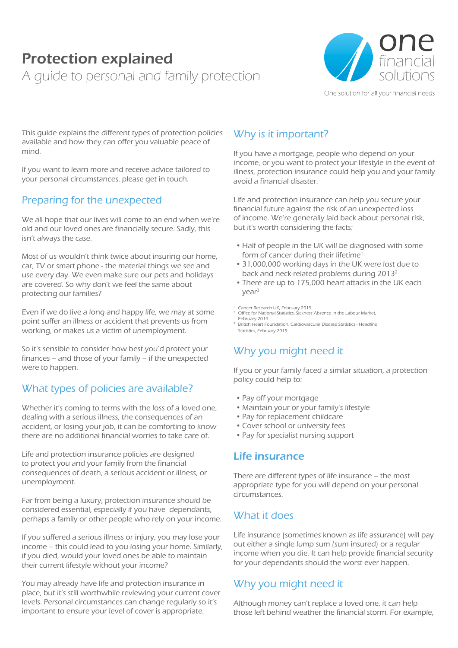# Protection explained A guide to personal and family protection



One solution for all your financial needs

This guide explains the different types of protection policies available and how they can offer you valuable peace of mind.

If you want to learn more and receive advice tailored to your personal circumstances, please get in touch.

# Preparing for the unexpected

We all hope that our lives will come to an end when we're old and our loved ones are financially secure. Sadly, this isn't always the case.

Most of us wouldn't think twice about insuring our home, car, TV or smart phone - the material things we see and use every day. We even make sure our pets and holidays are covered. So why don't we feel the same about protecting our families?

Even if we do live a long and happy life, we may at some point suffer an illness or accident that prevents us from working, or makes us a victim of unemployment.

So it's sensible to consider how best you'd protect your finances – and those of your family – if the unexpected were to happen.

# What types of policies are available?

Whether it's coming to terms with the loss of a loved one, dealing with a serious illness, the consequences of an accident, or losing your job, it can be comforting to know there are no additional financial worries to take care of.

Life and protection insurance policies are designed to protect you and your family from the financial consequences of death, a serious accident or illness, or unemployment.

Far from being a luxury, protection insurance should be considered essential, especially if you have dependants, perhaps a family or other people who rely on your income.

If you suffered a serious illness or injury, you may lose your income – this could lead to you losing your home. Similarly, if you died, would your loved ones be able to maintain their current lifestyle without your income?

You may already have life and protection insurance in place, but it's still worthwhile reviewing your current cover levels. Personal circumstances can change regularly so it's important to ensure your level of cover is appropriate.

# Why is it important?

If you have a mortgage, people who depend on your income, or you want to protect your lifestyle in the event of illness, protection insurance could help you and your family avoid a financial disaster.

Life and protection insurance can help you secure your financial future against the risk of an unexpected loss of income. We're generally laid back about personal risk, but it's worth considering the facts:

- Half of people in the UK will be diagnosed with some form of cancer during their lifetime<sup>1</sup>
- 31,000,000 working days in the UK were lost due to back and neck-related problems during 20132
- There are up to 175,000 heart attacks in the UK each year3
- 
- <sup>1</sup> Cancer Research UK, February 2015<br><sup>2</sup> Office for National Statistics, Sickness Absence in the Labour Market, February 2014
- 3 British Heart Foundation, Cardiovascular Disease Statistics Headline Statistics, February 2015

# Why you might need it

If you or your family faced a similar situation, a protection policy could help to:

- Pay off your mortgage
- Maintain your or your family's lifestyle
- Pay for replacement childcare
- Cover school or university fees
- Pay for specialist nursing support

#### Life insurance

There are different types of life insurance – the most appropriate type for you will depend on your personal circumstances.

#### What it does

Life insurance (sometimes known as life assurance) will pay out either a single lump sum (sum insured) or a regular income when you die. It can help provide financial security for your dependants should the worst ever happen.

# Why you might need it

Although money can't replace a loved one, it can help those left behind weather the financial storm. For example,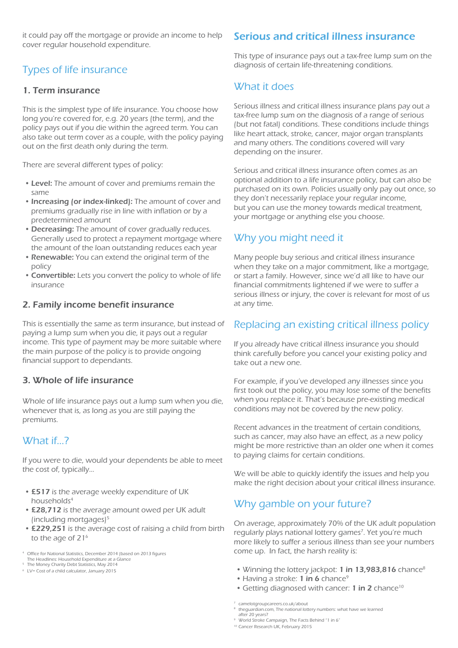it could pay off the mortgage or provide an income to help cover regular household expenditure.

# Types of life insurance

#### 1. Term insurance

This is the simplest type of life insurance. You choose how long you're covered for, e.g. 20 years (the term), and the policy pays out if you die within the agreed term. You can also take out term cover as a couple, with the policy paying out on the first death only during the term.

There are several different types of policy:

- Level: The amount of cover and premiums remain the same
- Increasing (or index-linked): The amount of cover and premiums gradually rise in line with inflation or by a predetermined amount
- Decreasing: The amount of cover gradually reduces. Generally used to protect a repayment mortgage where the amount of the loan outstanding reduces each year
- Renewable: You can extend the original term of the policy
- Convertible: Lets you convert the policy to whole of life insurance

#### 2. Family income benefit insurance

This is essentially the same as term insurance, but instead of paying a lump sum when you die, it pays out a regular income. This type of payment may be more suitable where the main purpose of the policy is to provide ongoing financial support to dependants.

#### 3. Whole of life insurance

Whole of life insurance pays out a lump sum when you die, whenever that is, as long as you are still paying the premiums.

#### What if…?

If you were to die, would your dependents be able to meet the cost of, typically...

- £517 is the average weekly expenditure of UK households4
- £28,712 is the average amount owed per UK adult (including mortgages) $5$
- £229,251 is the average cost of raising a child from birth to the age of  $21<sup>6</sup>$
- 4 Office for National Statistics, December 2014 (based on 2013 figures
- The Headlines: Household Expenditure at a Glance
- 5 The Money Charity Debt Statistics, May 2014 6 LV= Cost of a child calculator, January 2015

#### Serious and critical illness insurance

This type of insurance pays out a tax-free lump sum on the diagnosis of certain life-threatening conditions.

### What it does

Serious illness and critical illness insurance plans pay out a tax-free lump sum on the diagnosis of a range of serious (but not fatal) conditions. These conditions include things like heart attack, stroke, cancer, major organ transplants and many others. The conditions covered will vary depending on the insurer.

Serious and critical illness insurance often comes as an optional addition to a life insurance policy, but can also be purchased on its own. Policies usually only pay out once, so they don't necessarily replace your regular income, but you can use the money towards medical treatment, your mortgage or anything else you choose.

# Why you might need it

Many people buy serious and critical illness insurance when they take on a major commitment, like a mortgage, or start a family. However, since we'd all like to have our financial commitments lightened if we were to suffer a serious illness or injury, the cover is relevant for most of us at any time.

#### Replacing an existing critical illness policy

If you already have critical illness insurance you should think carefully before you cancel your existing policy and take out a new one.

For example, if you've developed any illnesses since you first took out the policy, you may lose some of the benefits when you replace it. That's because pre-existing medical conditions may not be covered by the new policy.

Recent advances in the treatment of certain conditions, such as cancer, may also have an effect, as a new policy might be more restrictive than an older one when it comes to paying claims for certain conditions.

We will be able to quickly identify the issues and help you make the right decision about your critical illness insurance.

# Why gamble on your future?

On average, approximately 70% of the UK adult population regularly plays national lottery games<sup>7</sup>. Yet you're much more likely to suffer a serious illness than see your numbers come up. In fact, the harsh reality is:

- Winning the lottery jackpot: 1 in 13,983,816 chance<sup>8</sup>
- $\bullet$  Having a stroke: 1 in 6 chance<sup>9</sup>
- Getting diagnosed with cancer: 1 in 2 chance<sup>10</sup>

- <sup>8</sup> theguardian.com, The national lottery numbers: what have we learned after 20 years?
- 9 World Stroke Campaign, The Facts Behind "1 in 6"
- 10 Cancer Research UK, February 2015

<sup>7</sup> camelotgroupcareers.co.uk/about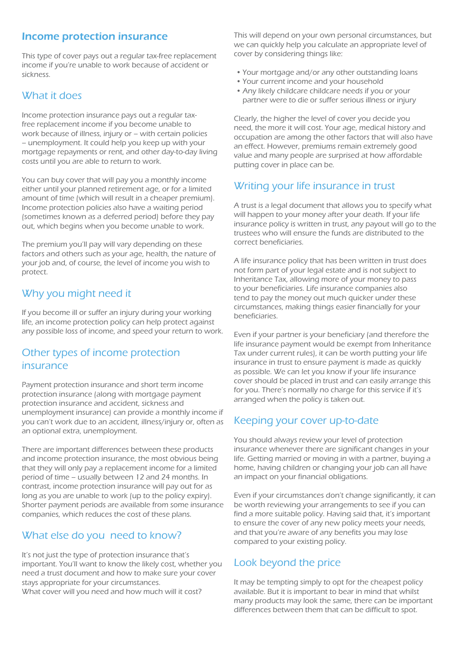### Income protection insurance

This type of cover pays out a regular tax-free replacement income if you're unable to work because of accident or sickness.

### What it does

Income protection insurance pays out a regular taxfree replacement income if you become unable to work because of illness, injury or – with certain policies – unemployment. It could help you keep up with your mortgage repayments or rent, and other day-to-day living costs until you are able to return to work.

You can buy cover that will pay you a monthly income either until your planned retirement age, or for a limited amount of time (which will result in a cheaper premium). Income protection policies also have a waiting period (sometimes known as a deferred period) before they pay out, which begins when you become unable to work.

The premium you'll pay will vary depending on these factors and others such as your age, health, the nature of your job and, of course, the level of income you wish to protect.

# Why you might need it

If you become ill or suffer an injury during your working life, an income protection policy can help protect against any possible loss of income, and speed your return to work.

#### Other types of income protection insurance

Payment protection insurance and short term income protection insurance (along with mortgage payment protection insurance and accident, sickness and unemployment insurance) can provide a monthly income if you can't work due to an accident, illness/injury or, often as an optional extra, unemployment.

There are important differences between these products and income protection insurance, the most obvious being that they will only pay a replacement income for a limited period of time – usually between 12 and 24 months. In contrast, income protection insurance will pay out for as long as you are unable to work (up to the policy expiry). Shorter payment periods are available from some insurance companies, which reduces the cost of these plans.

# What else do you need to know?

It's not just the type of protection insurance that's important. You'll want to know the likely cost, whether you need a trust document and how to make sure your cover stays appropriate for your circumstances. What cover will you need and how much will it cost?

This will depend on your own personal circumstances, but we can quickly help you calculate an appropriate level of cover by considering things like:

- Your mortgage and/or any other outstanding loans
- Your current income and your household
- Any likely childcare childcare needs if you or your partner were to die or suffer serious illness or injury

Clearly, the higher the level of cover you decide you need, the more it will cost. Your age, medical history and occupation are among the other factors that will also have an effect. However, premiums remain extremely good value and many people are surprised at how affordable putting cover in place can be.

# Writing your life insurance in trust

A trust is a legal document that allows you to specify what will happen to your money after your death. If your life insurance policy is written in trust, any payout will go to the trustees who will ensure the funds are distributed to the correct beneficiaries.

A life insurance policy that has been written in trust does not form part of your legal estate and is not subject to Inheritance Tax, allowing more of your money to pass to your beneficiaries. Life insurance companies also tend to pay the money out much quicker under these circumstances, making things easier financially for your beneficiaries.

Even if your partner is your beneficiary (and therefore the life insurance payment would be exempt from Inheritance Tax under current rules), it can be worth putting your life insurance in trust to ensure payment is made as quickly as possible. We can let you know if your life insurance cover should be placed in trust and can easily arrange this for you. There's normally no charge for this service if it's arranged when the policy is taken out.

# Keeping your cover up-to-date

You should always review your level of protection insurance whenever there are significant changes in your life. Getting married or moving in with a partner, buying a home, having children or changing your job can all have an impact on your financial obligations.

Even if your circumstances don't change significantly, it can be worth reviewing your arrangements to see if you can find a more suitable policy. Having said that, it's important to ensure the cover of any new policy meets your needs, and that you're aware of any benefits you may lose compared to your existing policy.

# Look beyond the price

It may be tempting simply to opt for the cheapest policy available. But it is important to bear in mind that whilst many products may look the same, there can be important differences between them that can be difficult to spot.